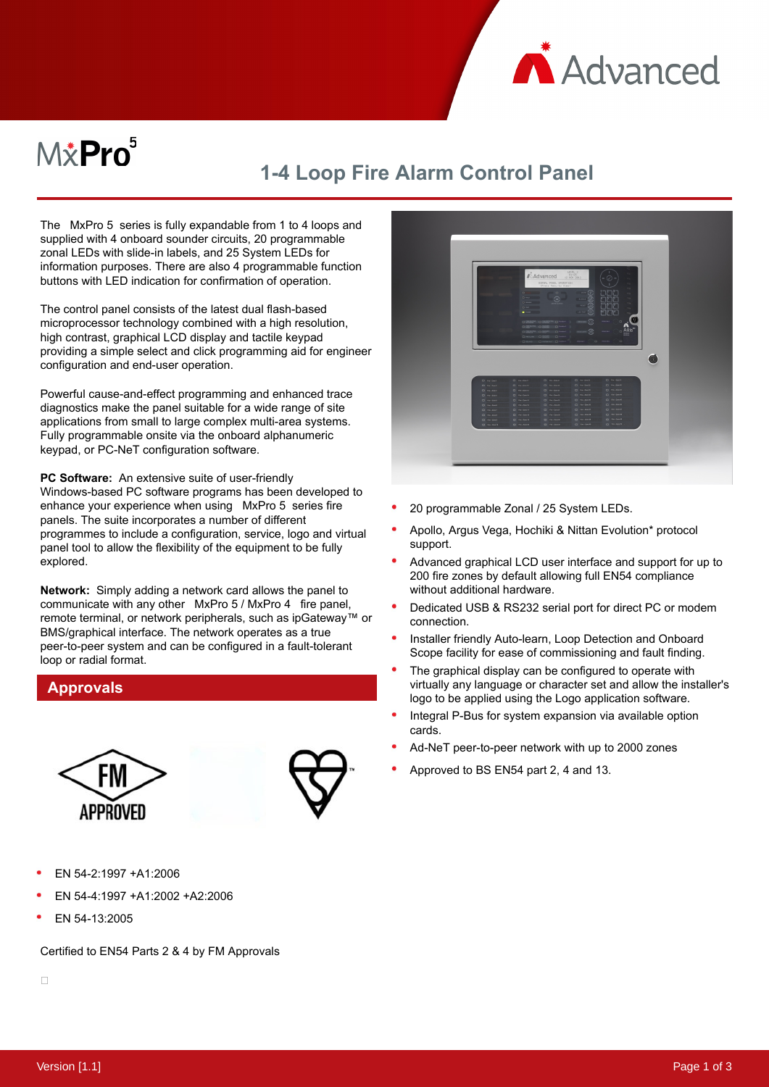

# $M\ddot{x}$ Pro $^5$

## **1-4 Loop Fire Alarm Control Panel**

The MxPro 5 series is fully expandable from 1 to 4 loops and supplied with 4 onboard sounder circuits, 20 programmable zonal LEDs with slide-in labels, and 25 System LEDs for information purposes. There are also 4 programmable function buttons with LED indication for confirmation of operation.

The control panel consists of the latest dual flash-based microprocessor technology combined with a high resolution, high contrast, graphical LCD display and tactile keypad providing a simple select and click programming aid for engineer configuration and end-user operation.

Powerful cause-and-effect programming and enhanced trace diagnostics make the panel suitable for a wide range of site applications from small to large complex multi-area systems. Fully programmable onsite via the onboard alphanumeric keypad, or PC-NeT configuration software.

**PC Software:** An extensive suite of user-friendly Windows-based PC software programs has been developed to enhance your experience when using MxPro 5 series fire panels. The suite incorporates a number of different programmes to include a configuration, service, logo and virtual panel tool to allow the flexibility of the equipment to be fully explored.

**Network:**  Simply adding a network card allows the panel to communicate with any other MxPro 5 / MxPro 4 fire panel, remote terminal, or network peripherals, such as ipGateway™ or BMS/graphical interface. The network operates as a true peer-to-peer system and can be configured in a fault-tolerant loop or radial format.

#### **Approvals**





- EN 54-2:1997 +A1:2006
- EN 54-4:1997 +A1:2002 +A2:2006
- EN 54-13:2005

Certified to EN54 Parts 2 & 4 by FM Approvals



- 20 programmable Zonal / 25 System LEDs.
- Apollo, Argus Vega, Hochiki & Nittan Evolution\* protocol support.
- Advanced graphical LCD user interface and support for up to 200 fire zones by default allowing full EN54 compliance without additional hardware.
- Dedicated USB & RS232 serial port for direct PC or modem connection.
- Installer friendly Auto-learn, Loop Detection and Onboard Scope facility for ease of commissioning and fault finding.
- The graphical display can be configured to operate with virtually any language or character set and allow the installer's logo to be applied using the Logo application software.
- Integral P-Bus for system expansion via available option cards.
- Ad-NeT peer-to-peer network with up to 2000 zones
- Approved to BS EN54 part 2, 4 and 13.

 $\Box$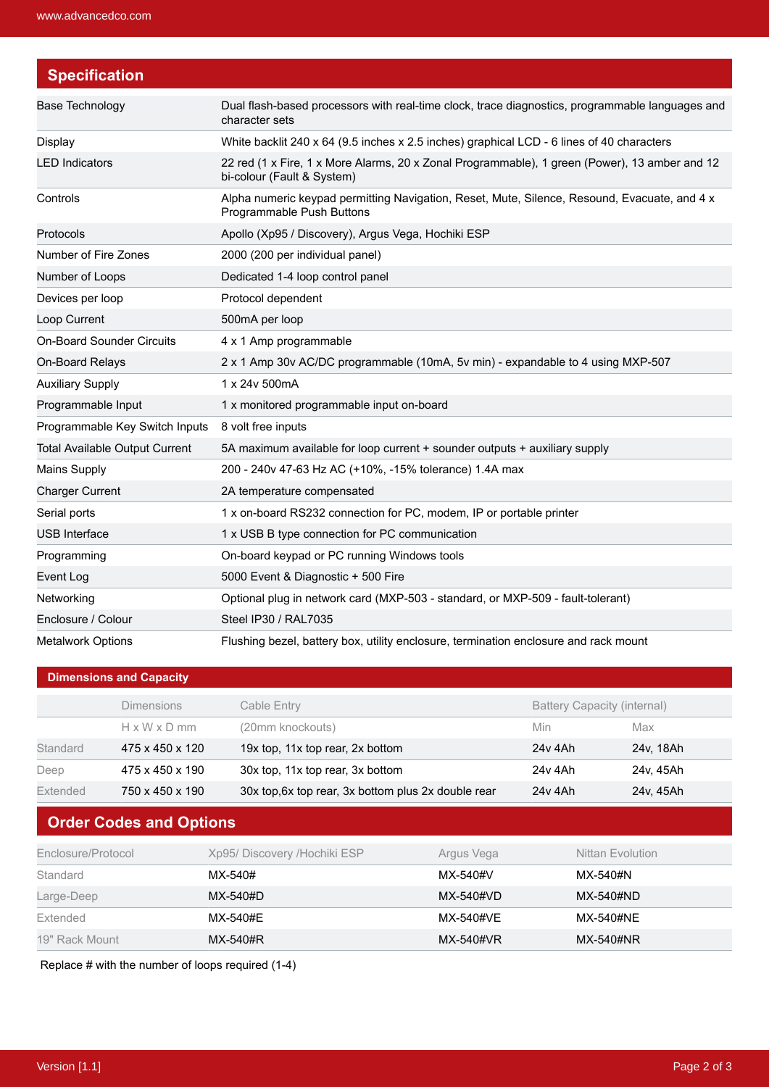| <b>Specification</b>                  |                                                                                                                             |  |
|---------------------------------------|-----------------------------------------------------------------------------------------------------------------------------|--|
| Base Technology                       | Dual flash-based processors with real-time clock, trace diagnostics, programmable languages and<br>character sets           |  |
| Display                               | White backlit 240 x 64 (9.5 inches x 2.5 inches) graphical LCD - 6 lines of 40 characters                                   |  |
| <b>LED Indicators</b>                 | 22 red (1 x Fire, 1 x More Alarms, 20 x Zonal Programmable), 1 green (Power), 13 amber and 12<br>bi-colour (Fault & System) |  |
| Controls                              | Alpha numeric keypad permitting Navigation, Reset, Mute, Silence, Resound, Evacuate, and 4 x<br>Programmable Push Buttons   |  |
| Protocols                             | Apollo (Xp95 / Discovery), Argus Vega, Hochiki ESP                                                                          |  |
| Number of Fire Zones                  | 2000 (200 per individual panel)                                                                                             |  |
| Number of Loops                       | Dedicated 1-4 loop control panel                                                                                            |  |
| Devices per loop                      | Protocol dependent                                                                                                          |  |
| Loop Current                          | 500mA per loop                                                                                                              |  |
| <b>On-Board Sounder Circuits</b>      | 4 x 1 Amp programmable                                                                                                      |  |
| On-Board Relays                       | 2 x 1 Amp 30v AC/DC programmable (10mA, 5v min) - expandable to 4 using MXP-507                                             |  |
| <b>Auxiliary Supply</b>               | 1 x 24v 500mA                                                                                                               |  |
| Programmable Input                    | 1 x monitored programmable input on-board                                                                                   |  |
| Programmable Key Switch Inputs        | 8 volt free inputs                                                                                                          |  |
| <b>Total Available Output Current</b> | 5A maximum available for loop current + sounder outputs + auxiliary supply                                                  |  |
| <b>Mains Supply</b>                   | 200 - 240v 47-63 Hz AC (+10%, -15% tolerance) 1.4A max                                                                      |  |
| <b>Charger Current</b>                | 2A temperature compensated                                                                                                  |  |
| Serial ports                          | 1 x on-board RS232 connection for PC, modem, IP or portable printer                                                         |  |
| <b>USB</b> Interface                  | 1 x USB B type connection for PC communication                                                                              |  |
| Programming                           | On-board keypad or PC running Windows tools                                                                                 |  |
| Event Log                             | 5000 Event & Diagnostic + 500 Fire                                                                                          |  |
| Networking                            | Optional plug in network card (MXP-503 - standard, or MXP-509 - fault-tolerant)                                             |  |
| Enclosure / Colour                    | Steel IP30 / RAL7035                                                                                                        |  |
| <b>Metalwork Options</b>              | Flushing bezel, battery box, utility enclosure, termination enclosure and rack mount                                        |  |

#### **Dimensions and Capacity**

|          | <b>Dimensions</b>        | Cable Entry                                         | <b>Battery Capacity (internal)</b> |           |
|----------|--------------------------|-----------------------------------------------------|------------------------------------|-----------|
|          | $H \times W \times D$ mm | (20mm knockouts)                                    | Min                                | Max       |
| Standard | 475 x 450 x 120          | 19x top, 11x top rear, 2x bottom                    | 24y 4Ah                            | 24v. 18Ah |
| Deep     | 475 x 450 x 190          | 30x top, 11x top rear, 3x bottom                    | 24y 4Ah                            | 24v. 45Ah |
| Extended | 750 x 450 x 190          | 30x top, 6x top rear, 3x bottom plus 2x double rear | 24y 4Ah                            | 24v. 45Ah |

### **Order Codes and Options**

| Enclosure/Protocol | Xp95/ Discovery /Hochiki ESP | Argus Vega | Nittan Evolution |
|--------------------|------------------------------|------------|------------------|
| Standard           | MX-540#                      | MX-540#V   | MX-540#N         |
| Large-Deep         | MX-540#D                     | MX-540#VD  | MX-540#ND        |
| Extended           | MX-540#E                     | MX-540#VE  | MX-540#NF        |
| 19" Rack Mount     | MX-540#R                     | MX-540#VR  | MX-540#NR        |

Replace # with the number of loops required (1-4)